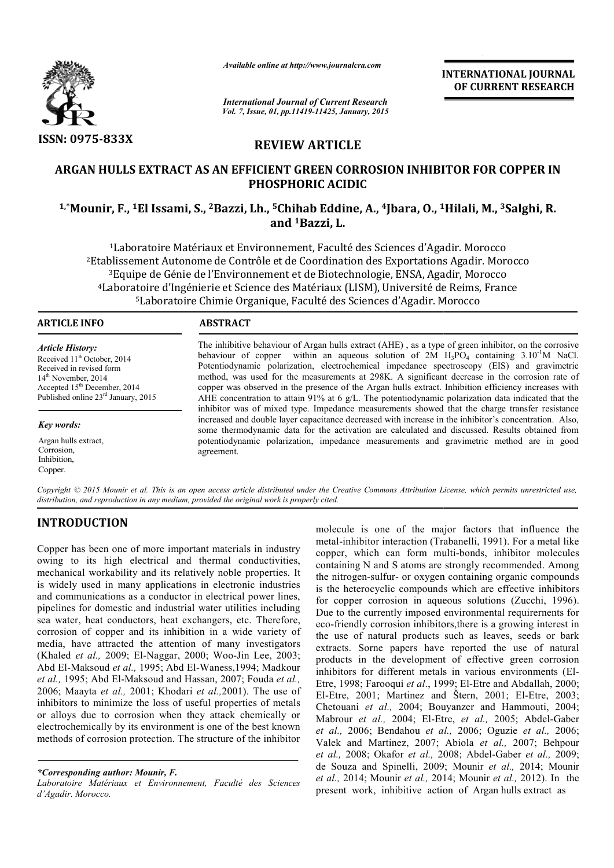

*Available online at http://www.journalcra.com*

*International Journal of Current Research Vol. 7, Issue, 01, pp.11419-11425, January, 2015* **INTERNATIONAL INTERNATIONAL JOURNAL OF CURRENT RESEARCH** 

# **REVIEW ARTICLE**

# **ARGAN HULLS EXTRACT AS AN EFFICIENT GREEN CORROSION INHIBITOR FOR COPPER IN**  ARGAN HULLS EXTRACT AS AN EFFICIENT GREEN CORROSION INHIBITOR FOR COPPER II<br>PHOSPHORIC ACIDIC<br><sup>1,\*</sup>Mounir, F., <sup>1</sup>El Issami, S., <sup>2</sup>Bazzi, Lh., <sup>5</sup>Chihab Eddine, A., <sup>4</sup>Jbara, O., <sup>1</sup>Hilali, M., <sup>3</sup>Salghi, R. **PHOSPHORIC ACIDIC**

# **and 1Bazzi, L.**

1Laboratoire Matériaux et Environnement, Faculté des Sciences d'Agadir. Morocco 2Etablissement Autonome de Contrôle et de Coordination des Exportations Agadir. Morocco <sup>3</sup>Equipe de Génie de l'Environnement et de Biotechnologie, ENSA, Agadir, Morocco <sup>4</sup>Laboratoire d'Ingénierie et Science des Matériaux (LISM), Université de Reims, France<br><sup>5</sup>Laboratoire Chimie Organique, Faculté des Sciences d'Agadir. Morocco 5Laboratoire Chimie Organique, Faculté des Sciences d'Agadir. Morocco <sup>1</sup> Laboratoire Matériaux et Environnement, Faculté des Sciences d'Agadir. Morocco<br>Etablissement Autonome de Contrôle et de Coordination des Exportations Agadir. Mor<br><sup>3</sup> Equipe de Génie de l'Environnement et de Biotechnolo Matériaux et Environnement, Faculté des Sciences d'Agadir.<br>Itonome de Contrôle et de Coordination des Exportations Aga<br>énie de l'Environnement et de Biotechnologie, ENSA, Agadir,<br>Ingénierie et Science des Matériaux (LISM),

# **ARTICLE INFO ABSTRACT**

*Article History:* Received 11<sup>th</sup> October, 2014 Received in revised form 14<sup>th</sup> November, 2014 Accepted 15th December, 2014 Published online 23rd January, 2015

*Key words:*

Argan hulls extract, Corrosion, Inhibition, Copper.

The inhibitive behaviour of Argan hulls extract (AHE) , as a type of green inhibitor, on the corrosive The inhibitive behaviour of Argan hulls extract (AHE), as a type of green inhibitor, on the corrosive behaviour of copper within an aqueous solution of  $2M$  H<sub>3</sub>PO<sub>4</sub> containing  $3.10^{-1}M$  NaCl. Potentiodynamic polarization, electrochemical impedance spectroscopy (EIS) and gravimetric method, was used for the measurements at 298K. A significant decrease in the corrosion rate of copper was observed in the presence of the Argan hulls extract. Inhibition efficiency increases with AHE concentration to attain 91% at 6 g/L. The potentiodynamic polarization data indicated that the inhibitor was of mixed type. Impedance measurements showed that the charge transfer resistance increased and double layer capacitance decreased with increase in the inhibitor's concentration. Also, some thermodynamic data for the activation are calculated and discussed. Results obtained from potentiodynamic polarization, impedance measurements and gravimetric method are in good polarization, agreement. was used for the measurements at 298K. A significant decrease in the corrosion rate of as observed in the presence of the Argan hulls extract. Inhibition efficiency increases with centration to attain 91% at 6  $g/L$ . The p

Copyright © 2015 Mounir et al. This is an open access article distributed under the Creative Commons Attribution License, which permits unrestricted use, *distribution, and reproduction in any medium, provided the original work is properly cited.*

# **INTRODUCTION**

Copper has been one of more important materials in industry owing to its high electrical and thermal conductivities, mechanical workability and its relatively noble properties. It is widely used in many applications in electronic industries and communications as a conductor in electrical power lines, pipelines for domestic and industrial water utilities including sea water, heat conductors, heat exchangers, etc. Therefore, corrosion of copper and its inhibition in a wide variety of media, have attracted the attention of many investigators (Khaled *et al., 2009*; El-Naggar, 2000; Woo-Jin Lee, 2003; Abd El-Maksoud et al., 1995; Abd El-Waness, 1994; Madkour et al., 1995; Abd El-Maksoud and Hassan, 2007; Fouda et al., 2006; Maayta *et al.,* 2001; Khodari *et al.,* 2001). The use of inhibitors to minimize the loss of useful properties of metals or alloys due to corrosion when they attack chemically or electrochemically by its environment is one of the best known methods of corrosion protection. The structure of the inhibitor ons as a conductor in electrical power lines,<br>nestic and industrial water utilities including<br>conductors, heat exchangers, etc. Therefore,<br>per and its inhibition in a wide variety of<br>racted the attention of many investigat

*\*Corresponding author: Mounir, F.* 

*Laboratoire Matériaux et Environnement, Faculté des Sciences d'Agadir. Morocco.*

molecule is one of the major factors that influence the molecule is one of the major factors that influence the metal-inhibitor interaction (Trabanelli, 1991). For a metal like copper, which can form multi-bonds, inhibitor molecules containing N and S atoms are strongly recommended. Among the nitrogen-sulfur- or oxygen containing organic compounds is the heterocyclic compounds which are effective inhibitors for copper corrosion in aqueous solutions (Zucchi, 1996). Due to the currently imposed environmental requirernents for eco-friendly corrosion inhibitors,there is a growing interest in the use of natural products such as leaves, seeds or bark extracts. Sorne papers have reported the use of natural products in the development of effective green corrosion inhibitors for different metals in various environments (El-Etre, 1998; Farooqui *et al.*, 1999; El-Etre and Abdallah, 2000; El-Etre, 2001; Martinez and Štern, 2001; El-Etre, 2003; Chetouani *et al.,* 2004; Bouyanzer and Hammouti, 2004; Mabrour *et al.*, 2004; El-Etre, *et al.*, 2005; Abdel-Gaber *et al.,* 2006; Bendahou *et al., al.,* 2006; Oguzie *et al.,* 2006; Valek and Martinez, 2007; Abiola et al., 2007; Behpour *et al.,* 2008; Okafor *et al.,* 2008 2008; Abdel-Gaber *et al.,* 2009; de Souza and Spinelli, 2009; 2009; Mounir *et al.,* 2014; Mounir *et al.,* 2014; Mounir *et al.,* 2014; Mounir *et al.,* 2012). In the present work, inhibitive action of Argan hulls extract as S atoms are strongly recommended. Among<br>r- or oxygen containing organic compounds<br>c compounds which are effective inhibitors<br>sion in aqueous solutions (Zucchi, 1996). friendly corrosion inhibitors, there is a growing interest in use of natural products such as leaves, seeds or bark acts. Sorne papers have reported the use of natural lucts in the development of effective green corrosion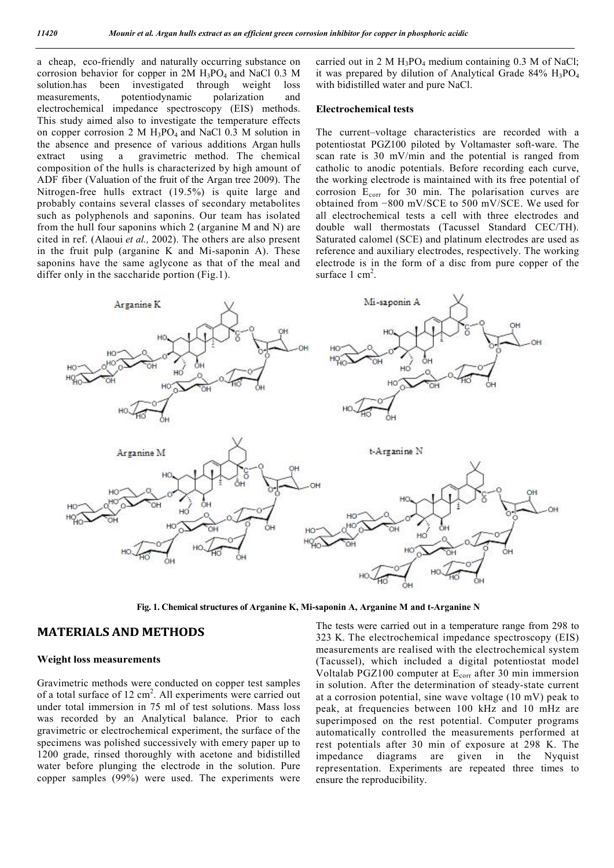a cheap, eco-friendly and naturally occurring substance on corrosion behavior for copper in  $2M H_3PO_4$  and NaCl 0.3 M solution.has been investigated through weight loss measurements, potentiodynamic polarization and electrochemical impedance spectroscopy (EIS) methods. This study aimed also to investigate the temperature effects on copper corrosion 2 M  $H_3PO_4$  and NaCl 0.3 M solution in the absence and presence of various additions Argan hulls extract using a gravimetric method. The chemical composition of the hulls is characterized by high amount of ADF fiber (Valuation of the fruit of the Argan tree 2009). The Nitrogen-free hulls extract (19.5%) is quite large and probably contains several classes of secondary metabolites such as polyphenols and saponins. Our team has isolated from the hull four saponins which 2 (arganine M and N) are cited in ref. (Alaoui *et al.,* 2002). The others are also present in the fruit pulp (arganine K and Mi-saponin A). These saponins have the same aglycone as that of the meal and differ only in the saccharide portion (Fig.1).

carried out in 2 M  $H_3PO_4$  medium containing 0.3 M of NaCl; it was prepared by dilution of Analytical Grade 84%  $H_3PO_4$ with bidistilled water and pure NaCl.

# **Electrochemical tests**

The current–voltage characteristics are recorded with a potentiostat PGZ100 piloted by Voltamaster soft-ware. The scan rate is 30 mV/min and the potential is ranged from catholic to anodic potentials. Before recording each curve, the working electrode is maintained with its free potential of corrosion Ecorr for 30 min. The polarisation curves are obtained from −800 mV/SCE to 500 mV/SCE. We used for all electrochemical tests a cell with three electrodes and double wall thermostats (Tacussel Standard CEC/TH). Saturated calomel (SCE) and platinum electrodes are used as reference and auxiliary electrodes, respectively. The working electrode is in the form of a disc from pure copper of the surface  $1 \text{ cm}^2$ .



**Fig. 1. Chemical structures of Arganine K, Mi-saponin A, Arganine M and t-Arganine N**

# **MATERIALS AND METHODS**

# **Weight loss measurements**

Gravimetric methods were conducted on copper test samples of a total surface of 12 cm<sup>2</sup>. All experiments were carried out under total immersion in 75 ml of test solutions. Mass loss was recorded by an Analytical balance. Prior to each gravimetric or electrochemical experiment, the surface of the specimens was polished successively with emery paper up to 1200 grade, rinsed thoroughly with acetone and bidistilled water before plunging the electrode in the solution. Pure copper samples (99%) were used. The experiments were

The tests were carried out in a temperature range from 298 to 323 K. The electrochemical impedance spectroscopy (EIS) measurements are realised with the electrochemical system (Tacussel), which included a digital potentiostat model Voltalab PGZ100 computer at  $E_{corr}$  after 30 min immersion in solution. After the determination of steady-state current at a corrosion potential, sine wave voltage (10 mV) peak to peak, at frequencies between 100 kHz and 10 mHz are superimposed on the rest potential. Computer programs automatically controlled the measurements performed at rest potentials after 30 min of exposure at 298 K. The impedance diagrams are given in the Nyquist representation. Experiments are repeated three times to ensure the reproducibility.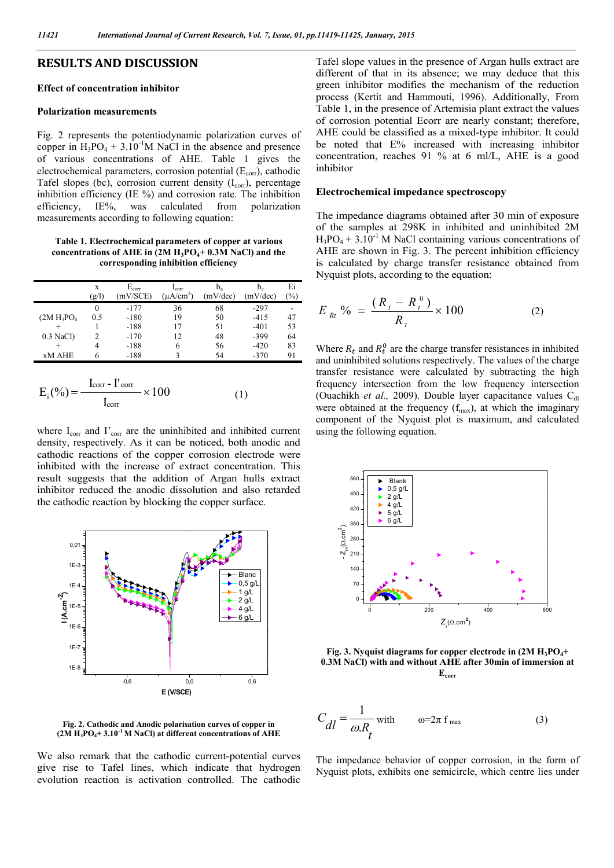# **RESULTS AND DISCUSSION**

# **Effect of concentration inhibitor**

#### **Polarization measurements**

Fig. 2 represents the potentiodynamic polarization curves of copper in  $H_3PO_4 + 3.10^{-1}M$  NaCl in the absence and presence of various concentrations of AHE. Table 1 gives the electrochemical parameters, corrosion potential  $(E_{\text{corr}})$ , cathodic Tafel slopes (bc), corrosion current density  $(I_{corr})$ , percentage inhibition efficiency (IE %) and corrosion rate. The inhibition efficiency, IE%, was calculated from polarization measurements according to following equation:

**Table 1. Electrochemical parameters of copper at various concentrations of AHE in (2M H3PO4+ 0.3M NaCl) and the corresponding inhibition efficiency**

|               | X     | $E_{\rm corr}$ | $_{\rm corr}$  | $b_a$    | $\mathbf{b}_c$ | Ei            |
|---------------|-------|----------------|----------------|----------|----------------|---------------|
|               | (g/l) | mV/SCE)        | $(\mu A/cm^2)$ | (mV/dec) | (mV/dec)       | $\frac{6}{6}$ |
|               |       | $-177$         | 36             | 68       | $-297$         |               |
| $(2M H_3PO4)$ | 0.5   | $-180$         | 19             | 50       | $-415$         | 47            |
| $^{+}$        |       | $-188$         | 17             | 51       | $-401$         | 53            |
| $0.3$ NaCl)   |       | $-170$         | 12             | 48       | $-399$         | 64            |
|               |       | $-188$         | 6              | 56       | $-420$         | 83            |
| <b>xM AHE</b> |       | $-188$         |                | 54       | $-370$         | 91            |

$$
E_i(\% ) = \frac{I_{corr} - I'_{corr}}{I_{corr}} \times 100
$$
 (1)

where I<sub>corr</sub> and I'<sub>corr</sub> are the uninhibited and inhibited current density, respectively. As it can be noticed, both anodic and cathodic reactions of the copper corrosion electrode were inhibited with the increase of extract concentration. This result suggests that the addition of Argan hulls extract inhibitor reduced the anodic dissolution and also retarded the cathodic reaction by blocking the copper surface.



**Fig. 2. Cathodic and Anodic polarisation curves of copper in (2M H3PO4+ 3.10-1 M NaCl) at different concentrations of AHE**

We also remark that the cathodic current-potential curves give rise to Tafel lines, which indicate that hydrogen evolution reaction is activation controlled. The cathodic

Tafel slope values in the presence of Argan hulls extract are different of that in its absence; we may deduce that this green inhibitor modifies the mechanism of the reduction process (Kertit and Hammouti, 1996). Additionally, From Table 1, in the presence of Artemisia plant extract the values of corrosion potential Ecorr are nearly constant; therefore, AHE could be classified as a mixed-type inhibitor. It could be noted that E% increased with increasing inhibitor concentration, reaches 91 % at 6 ml/L, AHE is a good inhibitor

#### **Electrochemical impedance spectroscopy**

The impedance diagrams obtained after 30 min of exposure of the samples at 298K in inhibited and uninhibited 2M  $H_3PO_4 + 3.10^{-1}$  M NaCl containing various concentrations of AHE are shown in Fig. 3. The percent inhibition efficiency is calculated by charge transfer resistance obtained from Nyquist plots, according to the equation:

$$
E_{Rt} \, \% \, = \, \frac{(R_t - R_t^0)}{R_t} \times 100 \tag{2}
$$

Where  $R_t$  and  $R_t^0$  are the charge transfer resistances in inhibited and uninhibited solutions respectively. The values of the charge transfer resistance were calculated by subtracting the high frequency intersection from the low frequency intersection (Ouachikh *et al.*, 2009). Double layer capacitance values  $C_{dl}$ were obtained at the frequency  $(f_{max})$ , at which the imaginary component of the Nyquist plot is maximum, and calculated using the following equation.



Fig. 3. Nyquist diagrams for copper electrode in  $(2M H_3PO_4+$ **0.3M NaCl) with and without AHE after 30min of immersion at Ecorr**

$$
C_{dl} = \frac{1}{\omega R_t} \text{ with } \qquad \omega = 2\pi \text{ f}_{\text{max}} \tag{3}
$$

The impedance behavior of copper corrosion, in the form of Nyquist plots, exhibits one semicircle, which centre lies under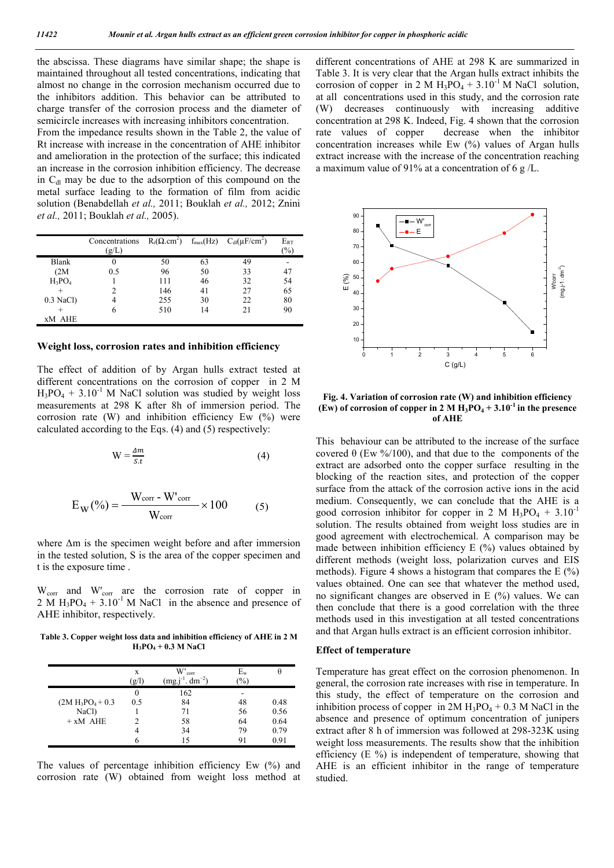the abscissa. These diagrams have similar shape; the shape is maintained throughout all tested concentrations, indicating that almost no change in the corrosion mechanism occurred due to the inhibitors addition. This behavior can be attributed to charge transfer of the corrosion process and the diameter of semicircle increases with increasing inhibitors concentration. From the impedance results shown in the Table 2, the value of

Rt increase with increase in the concentration of AHE inhibitor and amelioration in the protection of the surface; this indicated an increase in the corrosion inhibition efficiency. The decrease in  $C<sub>dl</sub>$  may be due to the adsorption of this compound on the metal surface leading to the formation of film from acidic solution (Benabdellah *et al.,* 2011; Bouklah *et al.,* 2012; Znini *et al.,* 2011; Bouklah *et al.,* 2005).

|             | Concentrations<br>(g/L) | $R_t(\Omega, \text{cm}^2)$ |    | $f_{\text{max}}(Hz)$ $C_{dl}(\mu F/cm^2)$ | $E_{RT}$<br>(%) |
|-------------|-------------------------|----------------------------|----|-------------------------------------------|-----------------|
| Blank       | $\theta$                | 50                         | 63 | 49                                        |                 |
| (2M)        | 0.5                     | 96                         | 50 | 33                                        | 47              |
| $H_3PO_4$   |                         | 111                        | 46 | 32                                        | 54              |
|             | 2                       | 146                        | 41 | 27                                        | 65              |
| $0.3$ NaCl) | 4                       | 255                        | 30 | 22                                        | 80              |
|             | 6                       | 510                        | 14 | 21                                        | 90              |
| xM AHE      |                         |                            |    |                                           |                 |

### **Weight loss, corrosion rates and inhibition efficiency**

The effect of addition of by Argan hulls extract tested at different concentrations on the corrosion of copper in 2 M  $H_3PO_4 + 3.10^{-1}$  M NaCl solution was studied by weight loss measurements at 298 K after 8h of immersion period. The corrosion rate  $(W)$  and inhibition efficiency Ew  $(\%)$  were calculated according to the Eqs. (4) and (5) respectively:

$$
W = \frac{4m}{s.t}
$$
 (4)

$$
E_{\rm W}(\%) = \frac{W_{\rm corr} - W'_{\rm corr}}{W_{\rm corr}} \times 100
$$
 (5)

 where Δm is the specimen weight before and after immersion in the tested solution, S is the area of the copper specimen and t is the exposure time .

W<sub>corr</sub> and W'<sub>corr</sub> are the corrosion rate of copper in 2 M  $H_3PO_4 + 3.10^{-1}$  M NaCl in the absence and presence of AHE inhibitor, respectively.

**Table 3. Copper weight loss data and inhibition efficiency of AHE in 2 M H3PO4 + 0.3 M NaCl**

|                      | X<br>(g/l) | $W_{corr}$<br>$i^{-1}$ . dm <sup>-2</sup> )<br>(mg.j | $E_{\rm w}$<br>$\frac{9}{0}$ | θ    |
|----------------------|------------|------------------------------------------------------|------------------------------|------|
|                      | $\theta$   | 162                                                  |                              |      |
| $(2M H_3PO_4 + 0.3)$ | 0.5        | 84                                                   | 48                           | 0.48 |
| NaCl)                |            | 71                                                   | 56                           | 0.56 |
| $+ xM$ AHE           |            | 58                                                   | 64                           | 0.64 |
|                      |            | 34                                                   | 79                           | 0.79 |
|                      |            |                                                      | 91                           | 0.91 |

The values of percentage inhibition efficiency Ew (%) and corrosion rate (W) obtained from weight loss method at different concentrations of AHE at 298 K are summarized in Table 3. It is very clear that the Argan hulls extract inhibits the corrosion of copper in 2 M  $H_3PO_4 + 3.10^{-1}$  M NaCl solution, at all concentrations used in this study, and the corrosion rate (W) decreases continuously with increasing additive concentration at 298 K. Indeed, Fig. 4 shown that the corrosion rate values of copper decrease when the inhibitor concentration increases while Ew (%) values of Argan hulls extract increase with the increase of the concentration reaching a maximum value of 91% at a concentration of 6 g /L.



**Fig. 4. Variation of corrosion rate (W) and inhibition efficiency (Ew) of corrosion of copper in 2 M**  $H_3PO_4 + 3.10^{-1}$  **in the presence of AHE**

This behaviour can be attributed to the increase of the surface covered θ (Ew %/100), and that due to the components of the extract are adsorbed onto the copper surface resulting in the blocking of the reaction sites, and protection of the copper surface from the attack of the corrosion active ions in the acid medium. Consequently, we can conclude that the AHE is a good corrosion inhibitor for copper in 2 M  $H_3PO_4 + 3.10^{-1}$ solution. The results obtained from weight loss studies are in good agreement with electrochemical. A comparison may be made between inhibition efficiency  $E(\%)$  values obtained by different methods (weight loss, polarization curves and EIS methods). Figure 4 shows a histogram that compares the  $E(\%)$ values obtained. One can see that whatever the method used, no significant changes are observed in E (%) values. We can then conclude that there is a good correlation with the three methods used in this investigation at all tested concentrations and that Argan hulls extract is an efficient corrosion inhibitor.

### **Effect of temperature**

Temperature has great effect on the corrosion phenomenon. In general, the corrosion rate increases with rise in temperature. In this study, the effect of temperature on the corrosion and inhibition process of copper in  $2M H_3PO_4 + 0.3 M NaCl$  in the absence and presence of optimum concentration of junipers extract after 8 h of immersion was followed at 298-323K using weight loss measurements. The results show that the inhibition efficiency (E %) is independent of temperature, showing that AHE is an efficient inhibitor in the range of temperature studied.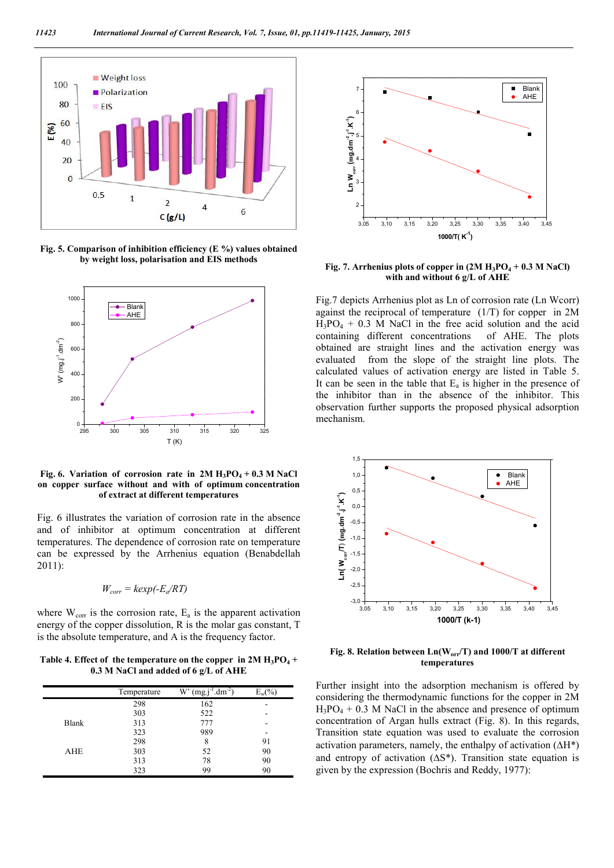

**Fig. 5. Comparison of inhibition efficiency (E %) values obtained by weight loss, polarisation and EIS methods**



**Fig.** 6. Variation of corrosion rate in  $2M H_3PO_4 + 0.3 M NaCl$ **on copper surface without and with of optimum concentration of extract at different temperatures**

Fig. 6 illustrates the variation of corrosion rate in the absence and of inhibitor at optimum concentration at different temperatures. The dependence of corrosion rate on temperature can be expressed by the Arrhenius equation (Benabdellah 2011):

$$
W_{corr} = kexp(-E_a/RT)
$$

where  $W_{\text{corr}}$  is the corrosion rate,  $E_a$  is the apparent activation energy of the copper dissolution, R is the molar gas constant, T is the absolute temperature, and A is the frequency factor.

Table 4. Effect of the temperature on the copper in  $2M H_3PO_4 +$ **0.3 M NaCl and added of 6 g/L of AHE**

|       | Temperature | $(mg.j^{-1}.dm^{-2})$<br>W' |    |
|-------|-------------|-----------------------------|----|
|       | 298         | 162                         |    |
|       | 303         | 522                         |    |
| Blank | 313         | 777                         |    |
|       | 323         | 989                         |    |
|       | 298         | 8                           | 91 |
| AHE   | 303         | 52                          | 90 |
|       | 313         | 78                          | 90 |
|       | 323         | 99                          | 90 |



Fig. 7. Arrhenius plots of copper in  $(2M H_3PO_4 + 0.3 M NaCl)$ **with and without 6 g/L of AHE**

Fig.7 depicts Arrhenius plot as Ln of corrosion rate (Ln Wcorr) against the reciprocal of temperature (1/T) for copper in 2M  $H_3PO_4 + 0.3$  M NaCl in the free acid solution and the acid containing different concentrations of AHE. The plots obtained are straight lines and the activation energy was evaluated from the slope of the straight line plots. The calculated values of activation energy are listed in Table 5. It can be seen in the table that  $E_a$  is higher in the presence of the inhibitor than in the absence of the inhibitor. This observation further supports the proposed physical adsorption mechanism.



**Fig. 8. Relation between Ln(Worr/T) and 1000/T at different temperatures**

Further insight into the adsorption mechanism is offered by considering the thermodynamic functions for the copper in 2M  $H_3PO_4 + 0.3$  M NaCl in the absence and presence of optimum concentration of Argan hulls extract (Fig. 8). In this regards, Transition state equation was used to evaluate the corrosion activation parameters, namely, the enthalpy of activation  $(\Delta H^*)$ and entropy of activation  $(\Delta S^*)$ . Transition state equation is given by the expression (Bochris and Reddy, 1977):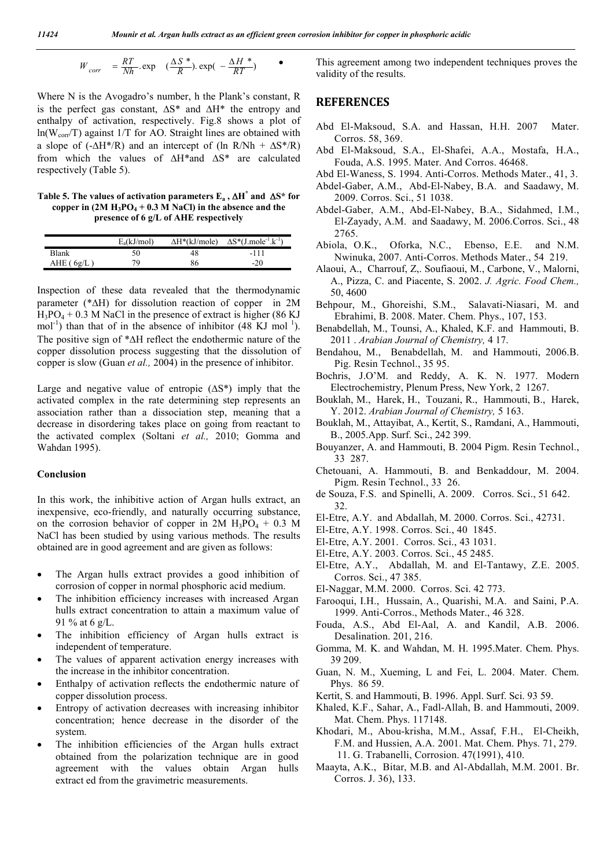$$
W_{corr} = \frac{RT}{Nh} \exp\left(-\frac{\Delta S^*}{R}\right) \exp\left(-\frac{\Delta H^*}{RT}\right)
$$

Where N is the Avogadro's number, h the Plank's constant, R is the perfect gas constant,  $\Delta S^*$  and  $\Delta H^*$  the entropy and enthalpy of activation, respectively. Fig.8 shows a plot of  $ln(W_{corr}/T)$  against 1/T for AO. Straight lines are obtained with a slope of  $(-\Delta H^* / R)$  and an intercept of  $(\ln R / N h + \Delta S^* / R)$ from which the values of  $\Delta H^*$  and  $\Delta S^*$  are calculated respectively (Table 5).

**Table 5. The values of activation parameters**  $E_a$ **,**  $\Delta H^*$  **and**  $\Delta S^*$  **for** copper in  $(2M H_3PO_4 + 0.3 M NaCl)$  in the absence and the **presence of 6 g/L of AHE respectively**

|              | $E_a(kJ/mol)$ | $\Delta H^*(kJ/mole)$ | $\Delta S^*(J_{.}mole^{-1}.k^{-1})$ |
|--------------|---------------|-----------------------|-------------------------------------|
| Blank        | 50            | 48                    | -111                                |
| AHE $(6g/L)$ | 70            | 86                    | $-20$                               |

Inspection of these data revealed that the thermodynamic parameter ( $* \Delta H$ ) for dissolution reaction of copper in 2M  $H_3PO_4 + 0.3$  M NaCl in the presence of extract is higher (86 KJ) mol<sup>-1</sup>) than that of in the absence of inhibitor  $(48 \text{ KJ mol}^{-1})$ . The positive sign of  $* \Delta H$  reflect the endothermic nature of the copper dissolution process suggesting that the dissolution of copper is slow (Guan *et al.,* 2004) in the presence of inhibitor.

Large and negative value of entropie  $( \Delta S^*)$  imply that the activated complex in the rate determining step represents an association rather than a dissociation step, meaning that a decrease in disordering takes place on going from reactant to the activated complex (Soltani *et al.,* 2010; Gomma and Wahdan 1995).

# **Conclusion**

In this work, the inhibitive action of Argan hulls extract, an inexpensive, eco-friendly, and naturally occurring substance, on the corrosion behavior of copper in  $2M H_3PO_4 + 0.3 M$ NaCl has been studied by using various methods. The results obtained are in good agreement and are given as follows:

- The Argan hulls extract provides a good inhibition of corrosion of copper in normal phosphoric acid medium.
- The inhibition efficiency increases with increased Argan hulls extract concentration to attain a maximum value of 91 % at 6 g/L.
- The inhibition efficiency of Argan hulls extract is independent of temperature.
- The values of apparent activation energy increases with the increase in the inhibitor concentration.
- Enthalpy of activation reflects the endothermic nature of copper dissolution process.
- Entropy of activation decreases with increasing inhibitor concentration; hence decrease in the disorder of the system.
- The inhibition efficiencies of the Argan hulls extract obtained from the polarization technique are in good agreement with the values obtain Argan hulls extract ed from the gravimetric measurements.

 This agreement among two independent techniques proves the validity of the results.

# **REFERENCES**

- Abd El-Maksoud, S.A. and Hassan, H.H. 2007 Mater. Corros. 58, 369.
- Abd El-Maksoud, S.A., El-Shafei, A.A., Mostafa, H.A., Fouda, A.S. 1995. Mater. And Corros. 46468.
- Abd El-Waness, S. 1994. Anti-Corros. Methods Mater., 41, 3. Abdel-Gaber, A.M., Abd-El-Nabey, B.A. and Saadawy, M. 2009. Corros. Sci., 51 1038.
- Abdel-Gaber, A.M., Abd-El-Nabey, B.A., Sidahmed, I.M., El-Zayady, A.M. and Saadawy, M. 2006.Corros. Sci., 48 2765.
- Abiola, O.K., Oforka, N.C., Ebenso, E.E. and N.M. Nwinuka, 2007. Anti-Corros. Methods Mater., 54 219.
- Alaoui, A., Charrouf, Z,. Soufiaoui, M., Carbone, V., Malorni, A., Pizza, C. and Piacente, S. 2002. *J. Agric. Food Chem.,* 50, 4600
- Behpour, M., Ghoreishi, S.M., Salavati-Niasari, M. and Ebrahimi, B. 2008. Mater. Chem. Phys., 107, 153.
- Benabdellah, M., Tounsi, A., Khaled, K.F. and Hammouti, B. 2011 . *Arabian Journal of Chemistry,* 4 17.
- Bendahou, M., Benabdellah, M. and Hammouti, 2006.B. Pig. Resin Technol., 35 95.
- Bochris, J.O'M. and Reddy, A. K. N. 1977. Modern Electrochemistry, Plenum Press, New York, 2 1267.
- Bouklah, M., Harek, H., Touzani, R., Hammouti, B., Harek, Y. 2012. *Arabian Journal of Chemistry,* 5 163.
- Bouklah, M., Attayibat, A., Kertit, S., Ramdani, A., Hammouti, B., 2005.App. Surf. Sci., 242 399.
- Bouyanzer, A. and Hammouti, B. 2004 Pigm. Resin Technol., 33 287.
- Chetouani, A. Hammouti, B. and Benkaddour, M. 2004. Pigm. Resin Technol., 33 26.
- de Souza, F.S. and Spinelli, A. 2009. Corros. Sci., 51 642. 32.
- El-Etre, A.Y. and Abdallah, M. 2000. Corros. Sci., 42731.
- El-Etre, A.Y. 1998. Corros. Sci., 40 1845.
- El-Etre, A.Y. 2001. Corros. Sci., 43 1031.
- El-Etre, A.Y. 2003. Corros. Sci., 45 2485.
- El-Etre, A.Y., Abdallah, M. and El-Tantawy, Z.E. 2005. Corros. Sci., 47 385.
- El-Naggar, M.M. 2000. Corros. Sci. 42 773.
- Farooqui, I.H., Hussain, A., Quarishi, M.A. and Saini, P.A. 1999. Anti-Corros., Methods Mater., 46 328.
- Fouda, A.S., Abd El-Aal, A. and Kandil, A.B. 2006. Desalination. 201, 216.
- Gomma, M. K. and Wahdan, M. H. 1995.Mater. Chem. Phys. 39 209.
- Guan, N. M., Xueming, L and Fei, L. 2004. Mater. Chem. Phys. 86 59.
- Kertit, S. and Hammouti, B. 1996. Appl. Surf. Sci. 93 59.
- Khaled, K.F., Sahar, A., Fadl-Allah, B. and Hammouti, 2009. Mat. Chem. Phys. 117148.
- Khodari, M., Abou-krisha, M.M., Assaf, F.H., El-Cheikh, F.M. and Hussien, A.A. 2001. Mat. Chem. Phys. 71, 279. 11. G. Trabanelli, Corrosion. 47(1991), 410.
- Maayta, A.K., Bitar, M.B. and Al-Abdallah, M.M. 2001. Br. Corros. J. 36), 133.